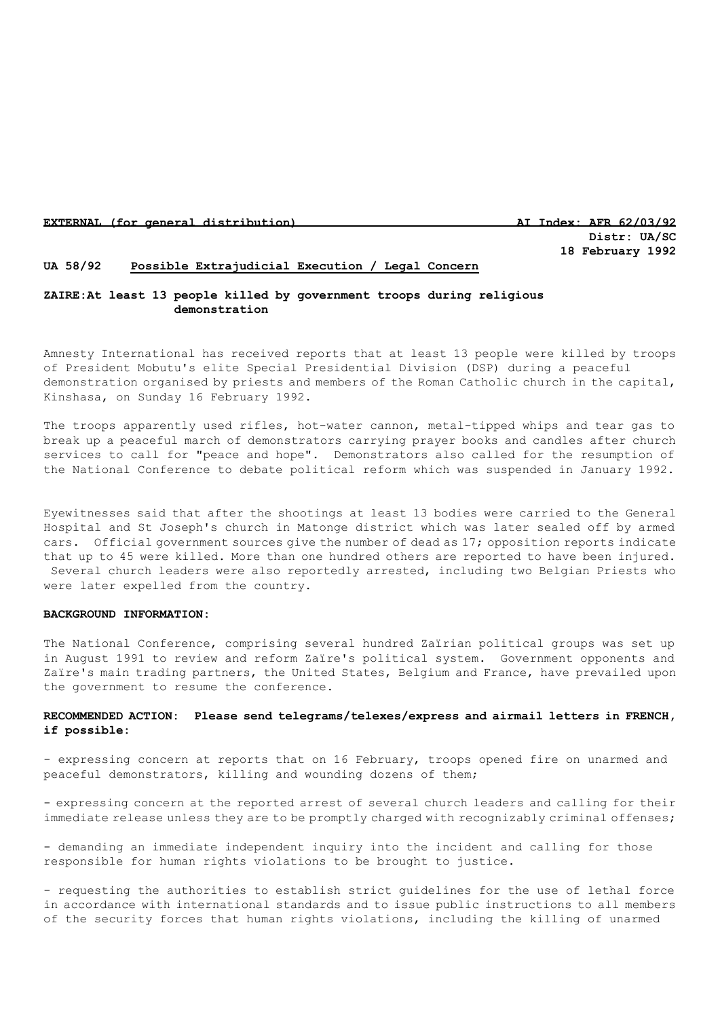## **EXTERNAL (for general distribution) AI Index: AFR 62/03/92**

**Distr: UA/SC 18 February 1992**

# **UA 58/92 Possible Extrajudicial Execution / Legal Concern**

## **ZAIRE:At least 13 people killed by government troops during religious demonstration**

Amnesty International has received reports that at least 13 people were killed by troops of President Mobutu's elite Special Presidential Division (DSP) during a peaceful demonstration organised by priests and members of the Roman Catholic church in the capital, Kinshasa, on Sunday 16 February 1992.

The troops apparently used rifles, hot-water cannon, metal-tipped whips and tear gas to break up a peaceful march of demonstrators carrying prayer books and candles after church services to call for "peace and hope". Demonstrators also called for the resumption of the National Conference to debate political reform which was suspended in January 1992.

Eyewitnesses said that after the shootings at least 13 bodies were carried to the General Hospital and St Joseph's church in Matonge district which was later sealed off by armed cars. Official government sources give the number of dead as 17; opposition reports indicate that up to 45 were killed. More than one hundred others are reported to have been injured. Several church leaders were also reportedly arrested, including two Belgian Priests who were later expelled from the country.

### **BACKGROUND INFORMATION:**

The National Conference, comprising several hundred Zaïrian political groups was set up in August 1991 to review and reform Zaïre's political system. Government opponents and Zaïre's main trading partners, the United States, Belgium and France, have prevailed upon the government to resume the conference.

# **RECOMMENDED ACTION: Please send telegrams/telexes/express and airmail letters in FRENCH, if possible:**

- expressing concern at reports that on 16 February, troops opened fire on unarmed and peaceful demonstrators, killing and wounding dozens of them;

- expressing concern at the reported arrest of several church leaders and calling for their immediate release unless they are to be promptly charged with recognizably criminal offenses;

- demanding an immediate independent inquiry into the incident and calling for those responsible for human rights violations to be brought to justice.

- requesting the authorities to establish strict guidelines for the use of lethal force in accordance with international standards and to issue public instructions to all members of the security forces that human rights violations, including the killing of unarmed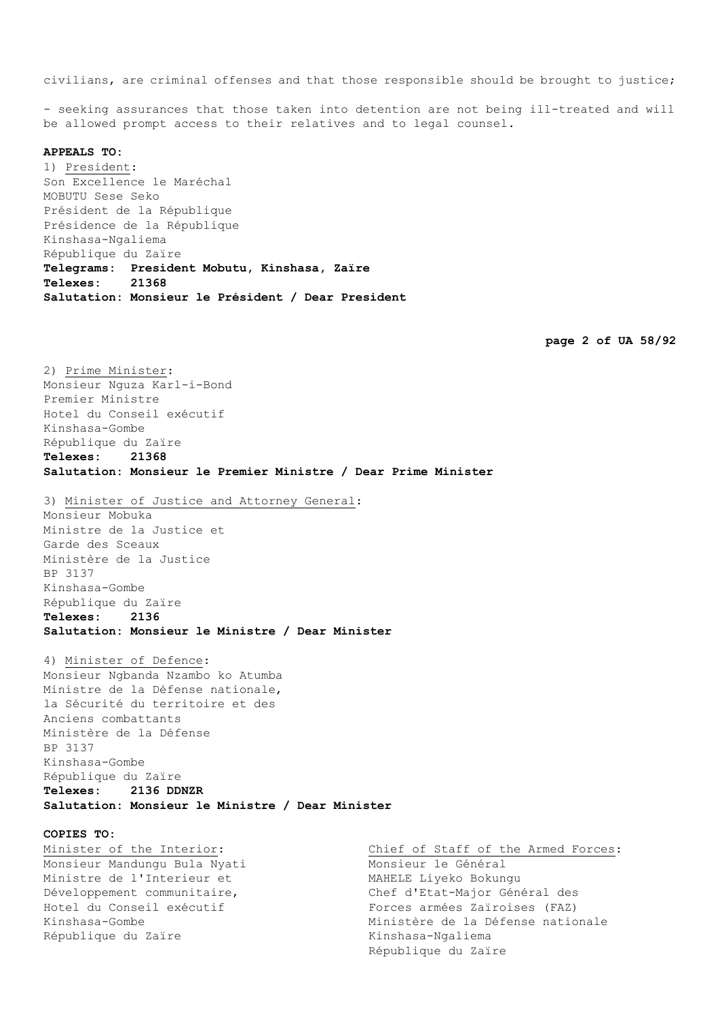civilians, are criminal offenses and that those responsible should be brought to justice;

- seeking assurances that those taken into detention are not being ill-treated and will be allowed prompt access to their relatives and to legal counsel.

### **APPEALS TO:**

1) President: Son Excellence le Maréchal MOBUTU Sese Seko Président de la République Présidence de la République Kinshasa-Ngaliema République du Zaïre **Telegrams: President Mobutu, Kinshasa, Zaïre Telexes: 21368 Salutation: Monsieur le Président / Dear President**

**page 2 of UA 58/92**

2) Prime Minister: Monsieur Nguza Karl-i-Bond Premier Ministre Hotel du Conseil exécutif Kinshasa-Gombe République du Zaïre **Telexes: 21368 Salutation: Monsieur le Premier Ministre / Dear Prime Minister**

3) Minister of Justice and Attorney General: Monsieur Mobuka Ministre de la Justice et Garde des Sceaux Ministère de la Justice BP 3137 Kinshasa-Gombe République du Zaïre **Telexes: 2136 Salutation: Monsieur le Ministre / Dear Minister**

4) Minister of Defence: Monsieur Ngbanda Nzambo ko Atumba Ministre de la Défense nationale, la Sécurité du territoire et des Anciens combattants Ministère de la Défense BP 3137 Kinshasa-Gombe République du Zaïre **Telexes: 2136 DDNZR Salutation: Monsieur le Ministre / Dear Minister**

#### **COPIES TO:**

Minister of the Interior: Monsieur Mandungu Bula Nyati Ministre de l'Interieur et Développement communitaire, Hotel du Conseil exécutif Kinshasa-Gombe République du Zaïre

Chief of Staff of the Armed Forces: Monsieur le Général MAHELE Liyeko Bokungu Chef d'Etat-Major Général des Forces armées Zaïroises (FAZ) Ministère de la Défense nationale Kinshasa-Ngaliema République du Zaïre